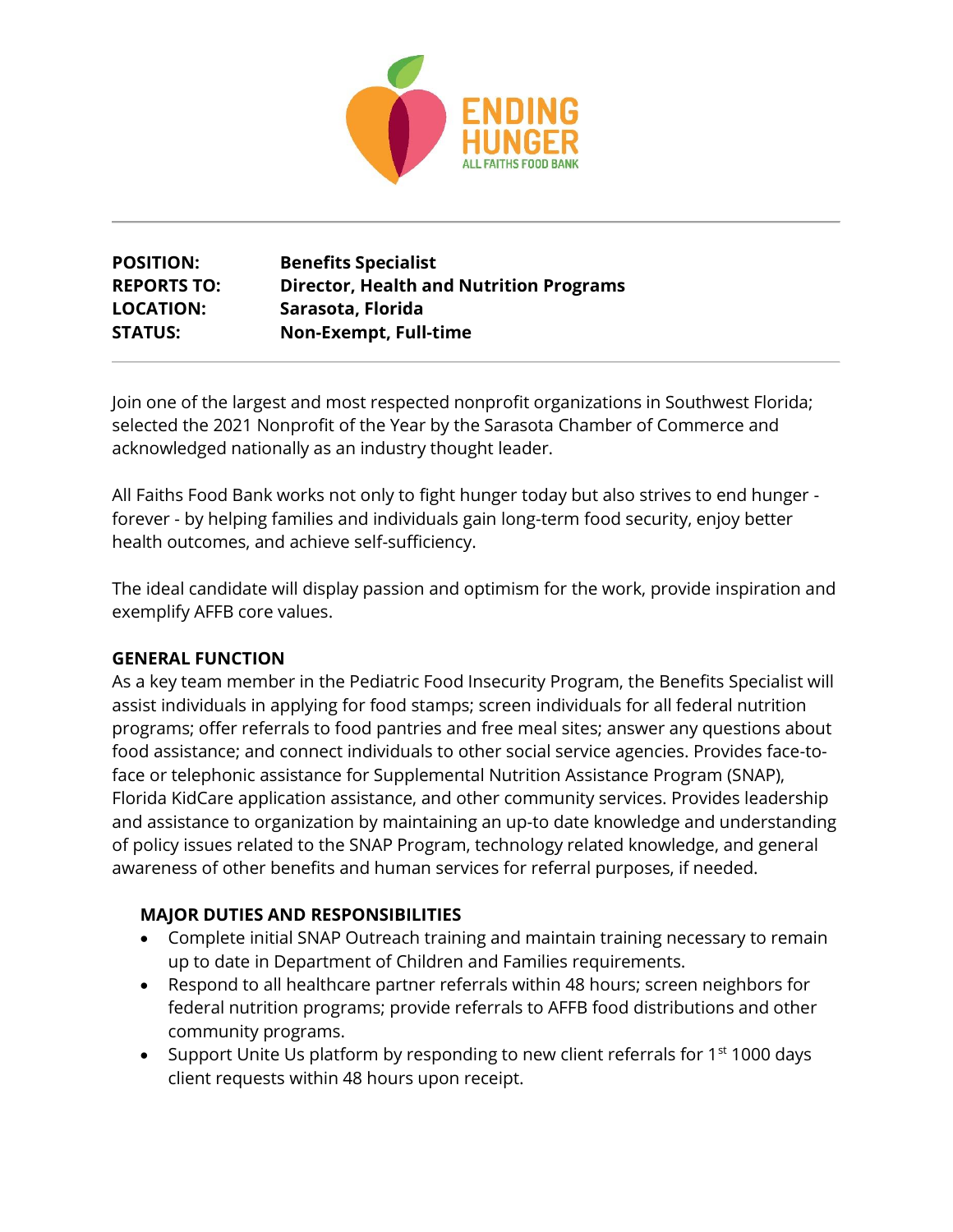

# **POSITION: Benefits Specialist REPORTS TO: Director, Health and Nutrition Programs LOCATION: Sarasota, Florida STATUS: Non-Exempt, Full-time**

Join one of the largest and most respected nonprofit organizations in Southwest Florida; selected the 2021 Nonprofit of the Year by the Sarasota Chamber of Commerce and acknowledged nationally as an industry thought leader.

All Faiths Food Bank works not only to fight hunger today but also strives to end hunger forever - by helping families and individuals gain long-term food security, enjoy better health outcomes, and achieve self-sufficiency.

The ideal candidate will display passion and optimism for the work, provide inspiration and exemplify AFFB core values.

## **GENERAL FUNCTION**

As a key team member in the Pediatric Food Insecurity Program, the Benefits Specialist will assist individuals in applying for food stamps; screen individuals for all federal nutrition programs; offer referrals to food pantries and free meal sites; answer any questions about food assistance; and connect individuals to other social service agencies. Provides face-toface or telephonic assistance for Supplemental Nutrition Assistance Program (SNAP), Florida KidCare application assistance, and other community services. Provides leadership and assistance to organization by maintaining an up-to date knowledge and understanding of policy issues related to the SNAP Program, technology related knowledge, and general awareness of other benefits and human services for referral purposes, if needed.

## **MAJOR DUTIES AND RESPONSIBILITIES**

- Complete initial SNAP Outreach training and maintain training necessary to remain up to date in Department of Children and Families requirements.
- Respond to all healthcare partner referrals within 48 hours; screen neighbors for federal nutrition programs; provide referrals to AFFB food distributions and other community programs.
- Support Unite Us platform by responding to new client referrals for  $1<sup>st</sup>$  1000 days client requests within 48 hours upon receipt.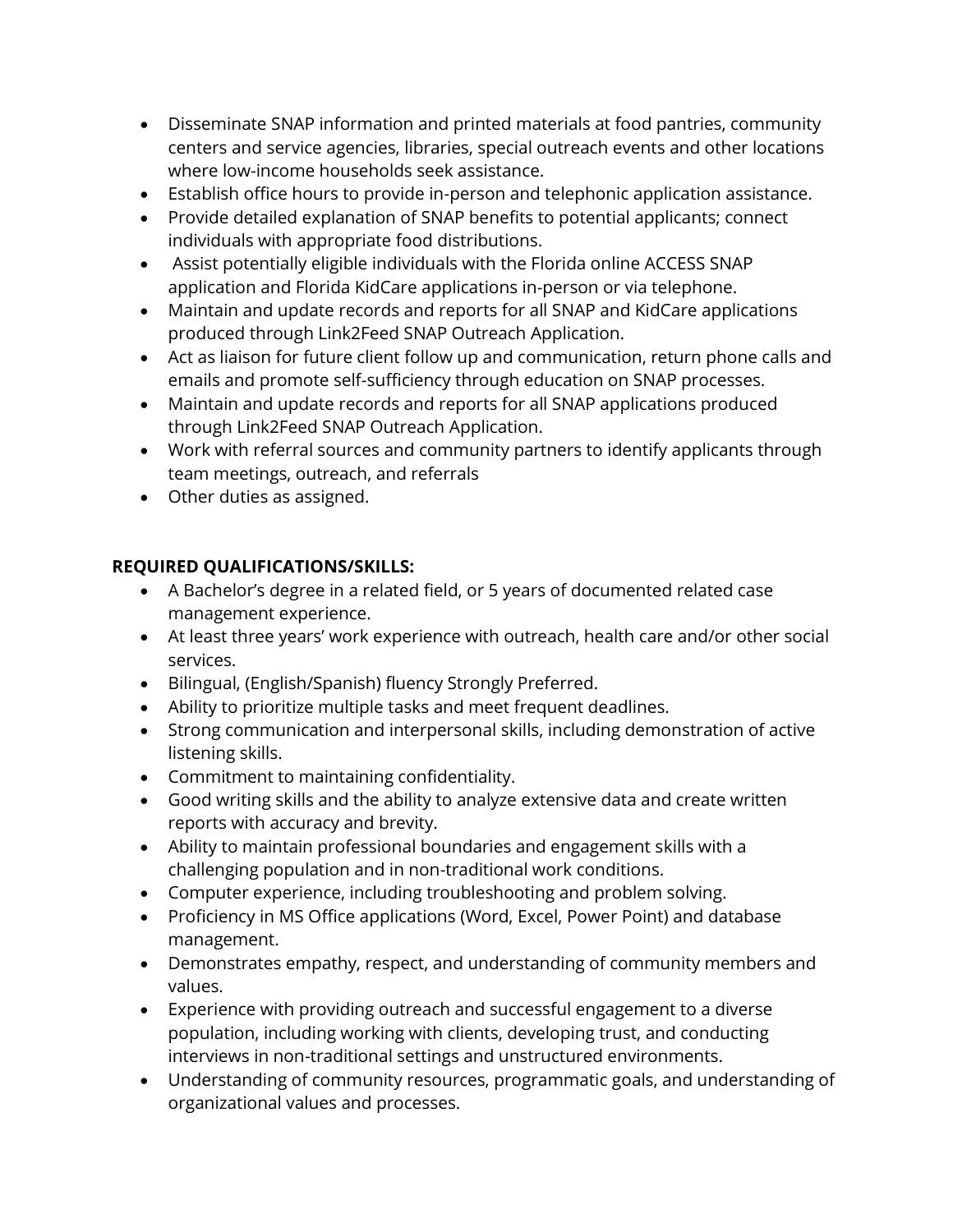- Disseminate SNAP information and printed materials at food pantries, community centers and service agencies, libraries, special outreach events and other locations where low-income households seek assistance.
- Establish office hours to provide in-person and telephonic application assistance.
- Provide detailed explanation of SNAP benefits to potential applicants; connect individuals with appropriate food distributions.
- Assist potentially eligible individuals with the Florida online ACCESS SNAP application and Florida KidCare applications in-person or via telephone.
- Maintain and update records and reports for all SNAP and KidCare applications produced through Link2Feed SNAP Outreach Application.
- Act as liaison for future client follow up and communication, return phone calls and emails and promote self-sufficiency through education on SNAP processes.
- Maintain and update records and reports for all SNAP applications produced through Link2Feed SNAP Outreach Application.
- Work with referral sources and community partners to identify applicants through team meetings, outreach, and referrals
- Other duties as assigned.

## **REQUIRED QUALIFICATIONS/SKILLS:**

- A Bachelor's degree in a related field, or 5 years of documented related case management experience.
- At least three years' work experience with outreach, health care and/or other social services.
- Bilingual, (English/Spanish) fluency Strongly Preferred.
- Ability to prioritize multiple tasks and meet frequent deadlines.
- Strong communication and interpersonal skills, including demonstration of active listening skills.
- Commitment to maintaining confidentiality.
- Good writing skills and the ability to analyze extensive data and create written reports with accuracy and brevity.
- Ability to maintain professional boundaries and engagement skills with a challenging population and in non-traditional work conditions.
- Computer experience, including troubleshooting and problem solving.
- Proficiency in MS Office applications (Word, Excel, Power Point) and database management.
- Demonstrates empathy, respect, and understanding of community members and values.
- Experience with providing outreach and successful engagement to a diverse population, including working with clients, developing trust, and conducting interviews in non-traditional settings and unstructured environments.
- Understanding of community resources, programmatic goals, and understanding of organizational values and processes.